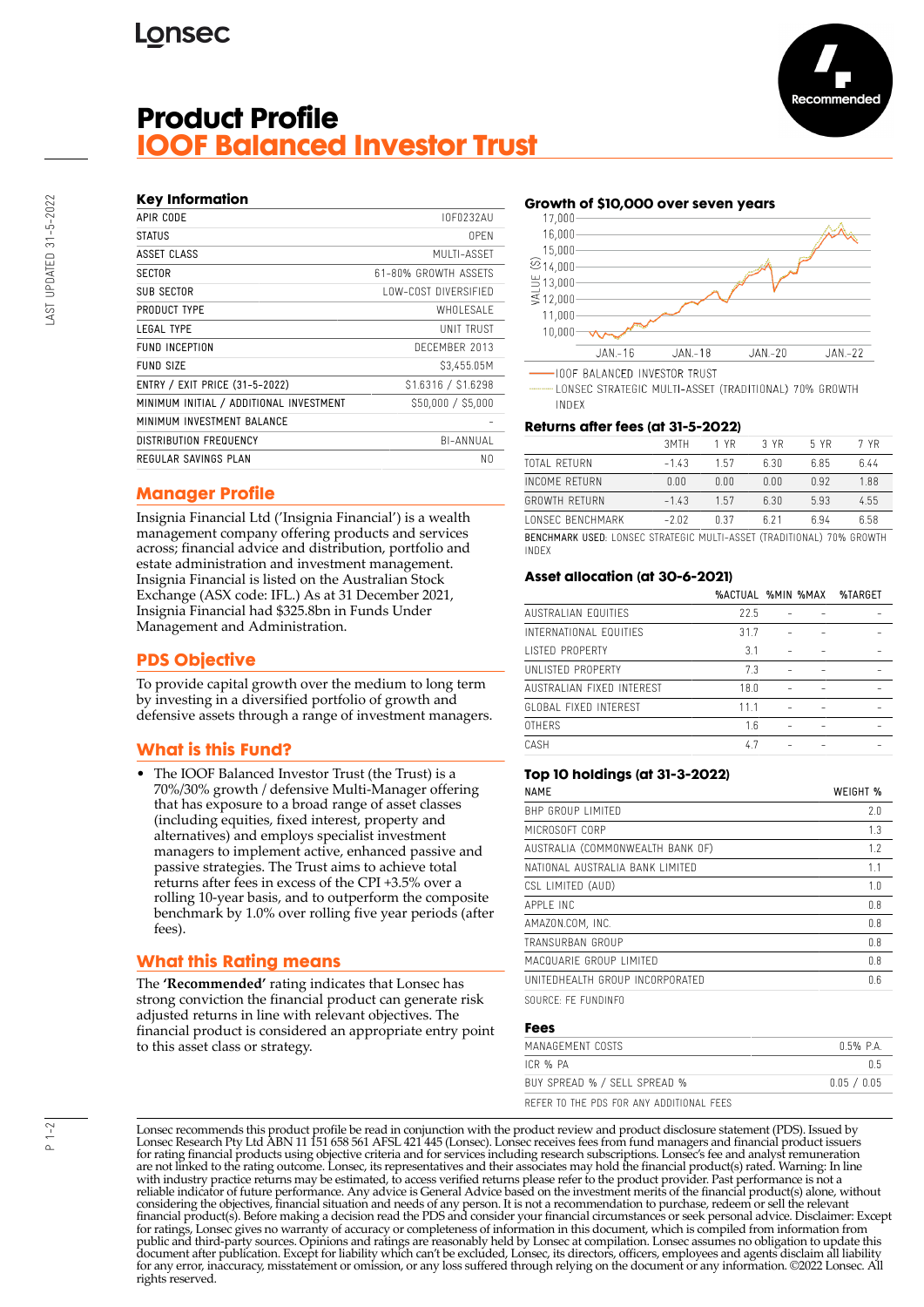# **Lonsec**

# **Product Profile IOOF Balanced Investor Trust**



| APIR CODE                               | IOF0232AU            |
|-----------------------------------------|----------------------|
| <b>STATUS</b>                           | 0PFN                 |
| ASSET CLASS                             | MULTI-ASSET          |
| <b>SECTOR</b>                           | 61-80% GROWTH ASSFTS |
| <b>SUB SECTOR</b>                       | LOW-COST DIVERSIFIED |
| PRODUCT TYPE                            | WHOI FSAI F          |
| <b>LEGAL TYPE</b>                       | UNIT TRUST           |
| <b>FUND INCEPTION</b>                   | DECEMBER 2013        |
| <b>FUND SIZE</b>                        | \$3,455.05M          |
| ENTRY / EXIT PRICE (31-5-2022)          | \$1.6316 / \$1.6298  |
| MINIMUM INITIAL / ADDITIONAL INVESTMENT | \$50,000 / \$5,000   |
| MINIMUM INVESTMENT BALANCE              |                      |
| <b>DISTRIBUTION FREQUENCY</b>           | BI-ANNUAL            |
| REGULAR SAVINGS PLAN                    | N0                   |
|                                         |                      |

## **Manager Profile**

Insignia Financial Ltd ('Insignia Financial') is a wealth management company offering products and services across; financial advice and distribution, portfolio and estate administration and investment management. Insignia Financial is listed on the Australian Stock Exchange (ASX code: IFL.) As at 31 December 2021, Insignia Financial had \$325.8bn in Funds Under Management and Administration.

## **PDS Objective**

To provide capital growth over the medium to long term by investing in a diversified portfolio of growth and defensive assets through a range of investment managers.

# **What is this Fund?**

The IOOF Balanced Investor Trust (the Trust) is a 70%/30% growth / defensive Multi-Manager offering that has exposure to a broad range of asset classes (including equities, fixed interest, property and alternatives) and employs specialist investment managers to implement active, enhanced passive and passive strategies. The Trust aims to achieve total returns after fees in excess of the CPI +3.5% over a rolling 10-year basis, and to outperform the composite benchmark by 1.0% over rolling five year periods (after fees).

### **What this Rating means**

The **'Recommended'** rating indicates that Lonsec has strong conviction the financial product can generate risk adjusted returns in line with relevant objectives. The financial product is considered an appropriate entry point to this asset class or strategy.





ecommende

**IOOF BALANCED INVESTOR TRUST** 

LONSEC STRATEGIC MULTI-ASSET (TRADITIONAL) 70% GROWTH INDEX

#### **Returns after fees (at 31-5-2022)**

|                                                                                | 3MTH    | 1 YR | 3 YR | 5 YR | 7 YR |
|--------------------------------------------------------------------------------|---------|------|------|------|------|
| <b>TOTAL RETURN</b>                                                            | $-1.43$ | 1.57 | 6.30 | 6.85 | 6.44 |
| INCOME RETURN                                                                  | 0.00    | 0.00 | 0.00 | 0.92 | 1.88 |
| <b>GROWTH RETURN</b>                                                           | $-1.43$ | 1.57 | 6.30 | 5.93 | 4.55 |
| <b><i>LONSEC BENCHMARK</i></b>                                                 | $-2.02$ | በ 37 | 621  | ճ 94 | 6.58 |
| BENCHMARK USED: LONSEC STRATEGIC MULTI-ASSET (TRADITIONAL) 70% GROWTH<br>INDEX |         |      |      |      |      |

#### **Asset allocation (at 30-6-2021)**

|                           | %ACTUAL %MIN %MAX |  | %TARGET |
|---------------------------|-------------------|--|---------|
| AUSTRALIAN FOUITIES       | 22.5              |  |         |
| INTERNATIONAL EQUITIES    | 31.7              |  |         |
| LISTED PROPERTY           | 3.1               |  |         |
| UNLISTED PROPERTY         | 7.3               |  |         |
| AUSTRALIAN FIXED INTEREST | 18.0              |  |         |
| GLOBAL FIXED INTEREST     | 11.1              |  |         |
| <b>OTHERS</b>             | 1.6               |  |         |
| CASH                      | 4.7               |  |         |
|                           |                   |  |         |

#### **Top 10 holdings (at 31-3-2022)**

| <b>NAMF</b>                      | WEIGHT % |
|----------------------------------|----------|
| BHP GROUP LIMITED                | 2.0      |
| MICROSOFT CORP                   | 1.3      |
| AUSTRALIA (COMMONWEALTH BANK OF) | 1.7      |
| NATIONAL AUSTRALIA BANK LIMITED  | 1.1      |
| CSL LIMITED (AUD)                | 1.0      |
| APPI F INC                       | 0.8      |
| AMAZON.COM, INC.                 | 0.8      |
| TRANSURBAN GROUP                 | 0.8      |
| MACQUARIE GROUP LIMITED          | 0.8      |
| UNITEDHEALTH GROUP INCORPORATED  | 0.6      |

SOURCE: FE FUNDINFO

#### **Fees**

| MANAGEMENT COSTS                         | 0.5% PA     |
|------------------------------------------|-------------|
| ICR % PA                                 | በ 5         |
| BUY SPREAD % / SELL SPREAD %             | 0.05 / 0.05 |
| REFER TO THE PDS FOR ANY ADDITIONAL FEES |             |

Lonsec recommends this product profile be read in conjunction with the product review and product disclosure statement (PDS). Issued by Lonsec Research Pty Ltd ABN 11 151 658 561 AFSL 421 445 (Lonsec). Lonsec receives fees from fund managers and financial product issuers for rating financial products using objective criteria and for services including research subscriptions. Lonsec's fee and analyst remuneration are not linked to the rating outcome. Lonsec, its representatives and their associates may hold the financial product(s) rated. Warning: In line with industry practice returns may be estimated, to access verified returns please refer to the product provider. Past performance is not a reliable indicator of future performance. Any advice is General Advice based on the investment merits of the financial product(s) alone, without considering the objectives, financial situation and needs of any person. It is not a recommendation to purchase, redeem or sell the relevant<br>financial product(s). Before making a decision read the PDS and consider your fin public and third-party sources. Opinions and ratings are reasonably held by Lonsec at compilation. Lonsec assumes no obligation to update this document after publication. Except for liability which can't be excluded, Lonsec, its directors, officers, employees and agents disclaim all liability for any error, inaccuracy, misstatement or omission, or any loss suffered through relying on the document or any information. ©2022 Lonsec. All rights reserved.